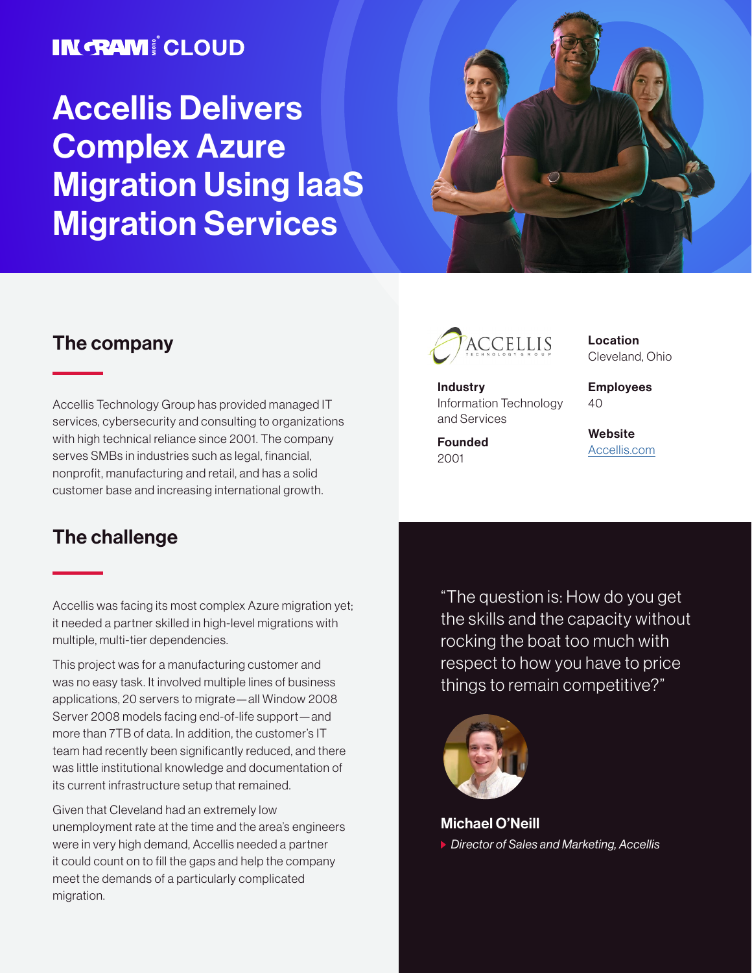### **IN RAM! CLOUD**

# Accellis Delivers Complex Azure Migration Using IaaS Migration Services



#### The company

Accellis Technology Group has provided managed IT services, cybersecurity and consulting to organizations with high technical reliance since 2001. The company serves SMBs in industries such as legal, financial, nonprofit, manufacturing and retail, and has a solid customer base and increasing international growth.

#### The challenge

Accellis was facing its most complex Azure migration yet; it needed a partner skilled in high-level migrations with multiple, multi-tier dependencies.

This project was for a manufacturing customer and was no easy task. It involved multiple lines of business applications, 20 servers to migrate—all Window 2008 Server 2008 models facing end-of-life support—and more than 7TB of data. In addition, the customer's IT team had recently been significantly reduced, and there was little institutional knowledge and documentation of its current infrastructure setup that remained.

Given that Cleveland had an extremely low unemployment rate at the time and the area's engineers were in very high demand, Accellis needed a partner it could count on to fill the gaps and help the company meet the demands of a particularly complicated migration.



**Industry** Information Technology and Services

Founded 2001

Location Cleveland, Ohio

Employees  $40$ 

**Website** [Accellis.com](https://accellis.com/)

"The question is: How do you get the skills and the capacity without rocking the boat too much with respect to how you have to price things to remain competitive?"



Michael O'Neill *Director of Sales and Marketing, Accellis*